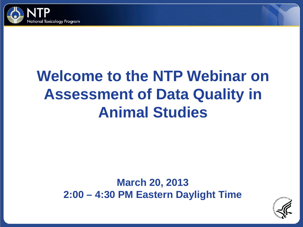

# **Welcome to the NTP Webinar on Assessment of Data Quality in Animal Studies**

#### **March 20, 2013 2:00 – 4:30 PM Eastern Daylight Time**

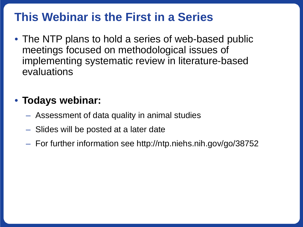## **This Webinar is the First in a Series**

• The NTP plans to hold a series of web-based public meetings focused on methodological issues of implementing systematic review in literature-based evaluations

### • **Todays webinar:**

- Assessment of data quality in animal studies
- Slides will be posted at a later date
- For further information see http://ntp.niehs.nih.gov/go/38752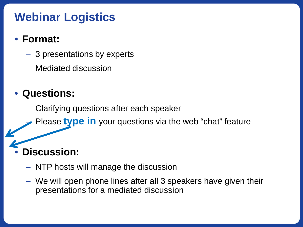## **Webinar Logistics**

#### • **Format:**

- 3 presentations by experts
- Mediated discussion

## • **Questions:**

- Clarifying questions after each speaker
- Please **type in** your questions via the web "chat" feature

# • **Discussion:**

- NTP hosts will manage the discussion
- We will open phone lines after all 3 speakers have given their presentations for a mediated discussion